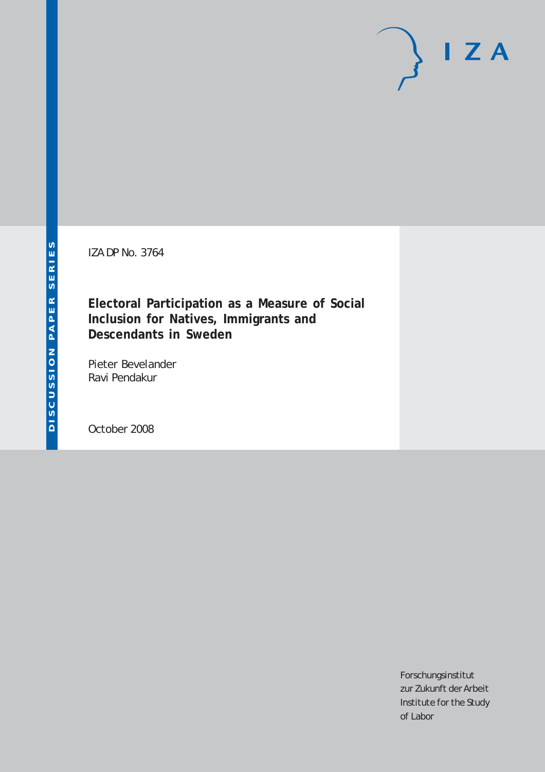IZA DP No. 3764

**Electoral Participation as a Measure of Social Inclusion for Natives, Immigrants and Descendants in Sweden**

Pieter Bevelander Ravi Pendakur

October 2008

Forschungsinstitut zur Zukunft der Arbeit Institute for the Study of Labor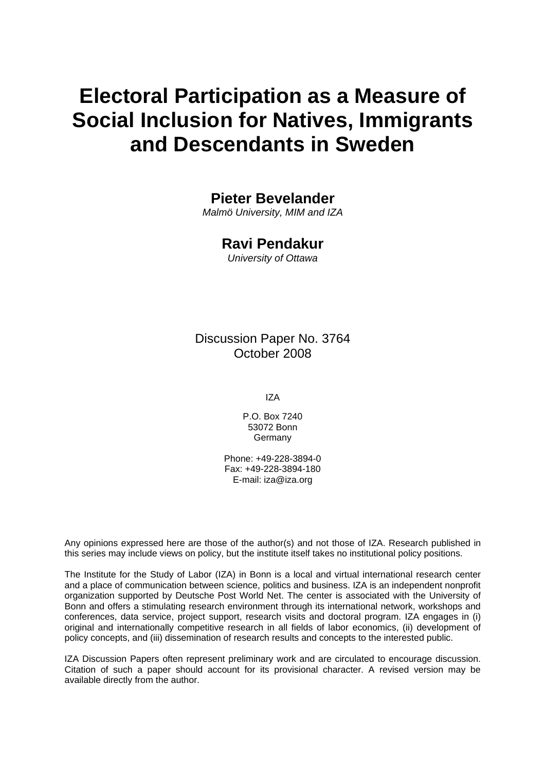# **Electoral Participation as a Measure of Social Inclusion for Natives, Immigrants and Descendants in Sweden**

### **Pieter Bevelander**

*Malmö University, MIM and IZA* 

### **Ravi Pendakur**

*University of Ottawa* 

Discussion Paper No. 3764 October 2008

IZA

P.O. Box 7240 53072 Bonn Germany

Phone: +49-228-3894-0 Fax: +49-228-3894-180 E-mail: [iza@iza.org](mailto:iza@iza.org)

Any opinions expressed here are those of the author(s) and not those of IZA. Research published in this series may include views on policy, but the institute itself takes no institutional policy positions.

The Institute for the Study of Labor (IZA) in Bonn is a local and virtual international research center and a place of communication between science, politics and business. IZA is an independent nonprofit organization supported by Deutsche Post World Net. The center is associated with the University of Bonn and offers a stimulating research environment through its international network, workshops and conferences, data service, project support, research visits and doctoral program. IZA engages in (i) original and internationally competitive research in all fields of labor economics, (ii) development of policy concepts, and (iii) dissemination of research results and concepts to the interested public.

IZA Discussion Papers often represent preliminary work and are circulated to encourage discussion. Citation of such a paper should account for its provisional character. A revised version may be available directly from the author.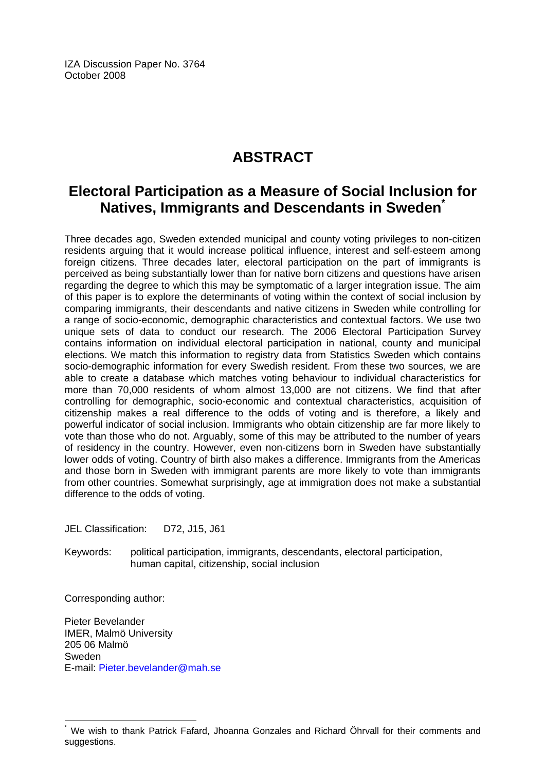IZA Discussion Paper No. 3764 October 2008

# **ABSTRACT**

### **Electoral Participation as a Measure of Social Inclusion for Natives, Immigrants and Descendants in Sweden[\\*](#page-2-0)**

Three decades ago, Sweden extended municipal and county voting privileges to non-citizen residents arguing that it would increase political influence, interest and self-esteem among foreign citizens. Three decades later, electoral participation on the part of immigrants is perceived as being substantially lower than for native born citizens and questions have arisen regarding the degree to which this may be symptomatic of a larger integration issue. The aim of this paper is to explore the determinants of voting within the context of social inclusion by comparing immigrants, their descendants and native citizens in Sweden while controlling for a range of socio-economic, demographic characteristics and contextual factors. We use two unique sets of data to conduct our research. The 2006 Electoral Participation Survey contains information on individual electoral participation in national, county and municipal elections. We match this information to registry data from Statistics Sweden which contains socio-demographic information for every Swedish resident. From these two sources, we are able to create a database which matches voting behaviour to individual characteristics for more than 70,000 residents of whom almost 13,000 are not citizens. We find that after controlling for demographic, socio-economic and contextual characteristics, acquisition of citizenship makes a real difference to the odds of voting and is therefore, a likely and powerful indicator of social inclusion. Immigrants who obtain citizenship are far more likely to vote than those who do not. Arguably, some of this may be attributed to the number of years of residency in the country. However, even non-citizens born in Sweden have substantially lower odds of voting. Country of birth also makes a difference. Immigrants from the Americas and those born in Sweden with immigrant parents are more likely to vote than immigrants from other countries. Somewhat surprisingly, age at immigration does not make a substantial difference to the odds of voting.

JEL Classification: D72, J15, J61

Keywords: political participation, immigrants, descendants, electoral participation, human capital, citizenship, social inclusion

Corresponding author:

 $\overline{a}$ 

Pieter Bevelander IMER, Malmö University 205 06 Malmö Sweden E-mail: [Pieter.bevelander@mah.se](mailto:Pieter.bevelander@mah.se)

<span id="page-2-0"></span><sup>\*</sup> We wish to thank Patrick Fafard, Jhoanna Gonzales and Richard Öhrvall for their comments and suggestions.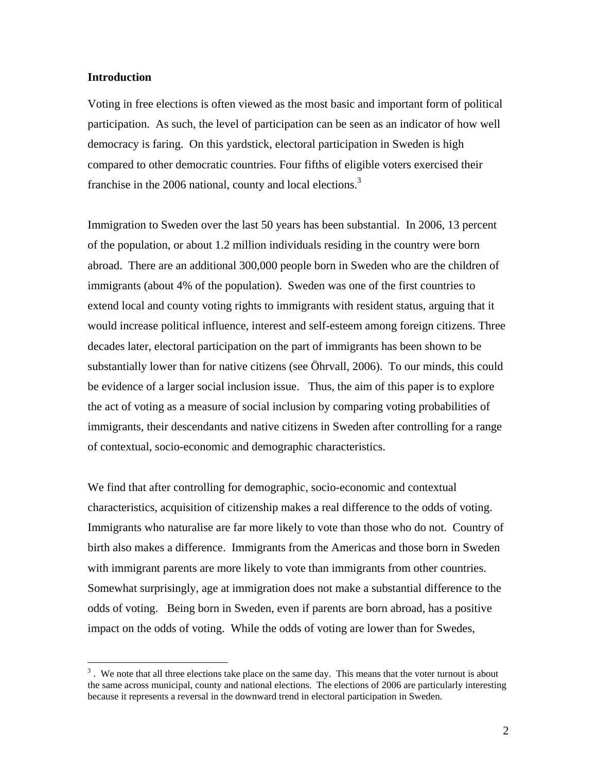#### **Introduction**

1

Voting in free elections is often viewed as the most basic and important form of political participation. As such, the level of participation can be seen as an indicator of how well democracy is faring. On this yardstick, electoral participation in Sweden is high compared to other democratic countries. Four fifths of eligible voters exercised their franchise in the 2006 national, county and local elections.<sup>[3](#page-3-0)</sup>

Immigration to Sweden over the last 50 years has been substantial. In 2006, 13 percent of the population, or about 1.2 million individuals residing in the country were born abroad. There are an additional 300,000 people born in Sweden who are the children of immigrants (about 4% of the population). Sweden was one of the first countries to extend local and county voting rights to immigrants with resident status, arguing that it would increase political influence, interest and self-esteem among foreign citizens. Three decades later, electoral participation on the part of immigrants has been shown to be substantially lower than for native citizens (see Öhrvall, 2006). To our minds, this could be evidence of a larger social inclusion issue. Thus, the aim of this paper is to explore the act of voting as a measure of social inclusion by comparing voting probabilities of immigrants, their descendants and native citizens in Sweden after controlling for a range of contextual, socio-economic and demographic characteristics.

We find that after controlling for demographic, socio-economic and contextual characteristics, acquisition of citizenship makes a real difference to the odds of voting. Immigrants who naturalise are far more likely to vote than those who do not. Country of birth also makes a difference. Immigrants from the Americas and those born in Sweden with immigrant parents are more likely to vote than immigrants from other countries. Somewhat surprisingly, age at immigration does not make a substantial difference to the odds of voting. Being born in Sweden, even if parents are born abroad, has a positive impact on the odds of voting. While the odds of voting are lower than for Swedes,

<span id="page-3-0"></span> $3$ . We note that all three elections take place on the same day. This means that the voter turnout is about the same across municipal, county and national elections. The elections of 2006 are particularly interesting because it represents a reversal in the downward trend in electoral participation in Sweden.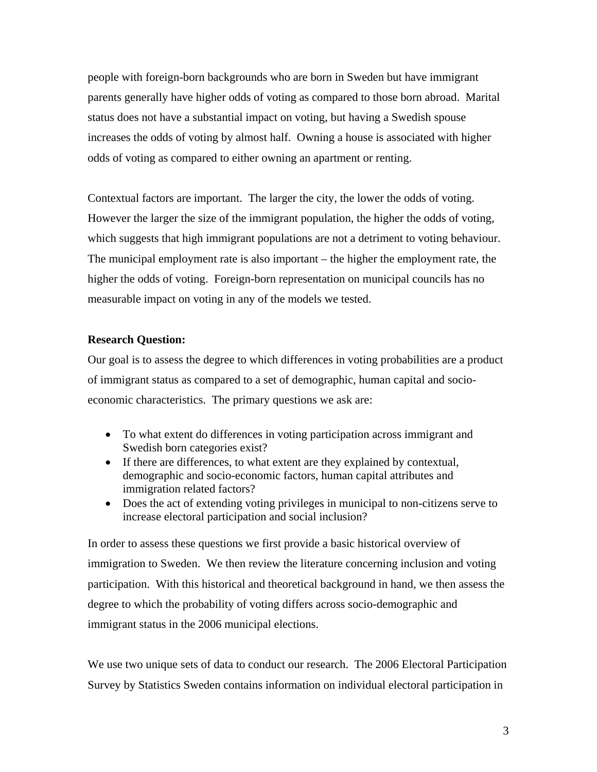people with foreign-born backgrounds who are born in Sweden but have immigrant parents generally have higher odds of voting as compared to those born abroad. Marital status does not have a substantial impact on voting, but having a Swedish spouse increases the odds of voting by almost half. Owning a house is associated with higher odds of voting as compared to either owning an apartment or renting.

Contextual factors are important. The larger the city, the lower the odds of voting. However the larger the size of the immigrant population, the higher the odds of voting, which suggests that high immigrant populations are not a detriment to voting behaviour. The municipal employment rate is also important – the higher the employment rate, the higher the odds of voting. Foreign-born representation on municipal councils has no measurable impact on voting in any of the models we tested.

### **Research Question:**

Our goal is to assess the degree to which differences in voting probabilities are a product of immigrant status as compared to a set of demographic, human capital and socioeconomic characteristics. The primary questions we ask are:

- To what extent do differences in voting participation across immigrant and Swedish born categories exist?
- If there are differences, to what extent are they explained by contextual, demographic and socio-economic factors, human capital attributes and immigration related factors?
- Does the act of extending voting privileges in municipal to non-citizens serve to increase electoral participation and social inclusion?

In order to assess these questions we first provide a basic historical overview of immigration to Sweden. We then review the literature concerning inclusion and voting participation. With this historical and theoretical background in hand, we then assess the degree to which the probability of voting differs across socio-demographic and immigrant status in the 2006 municipal elections.

We use two unique sets of data to conduct our research. The 2006 Electoral Participation Survey by Statistics Sweden contains information on individual electoral participation in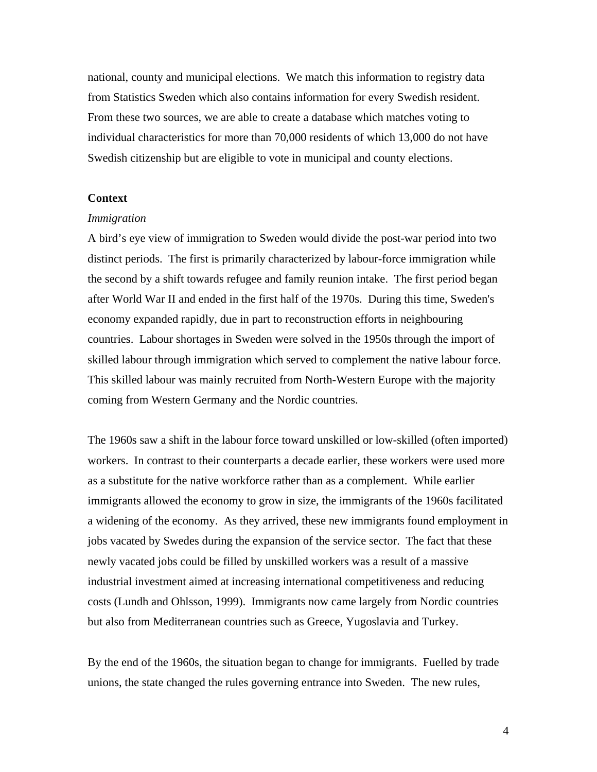national, county and municipal elections. We match this information to registry data from Statistics Sweden which also contains information for every Swedish resident. From these two sources, we are able to create a database which matches voting to individual characteristics for more than 70,000 residents of which 13,000 do not have Swedish citizenship but are eligible to vote in municipal and county elections.

#### **Context**

#### *Immigration*

A bird's eye view of immigration to Sweden would divide the post-war period into two distinct periods. The first is primarily characterized by labour-force immigration while the second by a shift towards refugee and family reunion intake. The first period began after World War II and ended in the first half of the 1970s. During this time, Sweden's economy expanded rapidly, due in part to reconstruction efforts in neighbouring countries. Labour shortages in Sweden were solved in the 1950s through the import of skilled labour through immigration which served to complement the native labour force. This skilled labour was mainly recruited from North-Western Europe with the majority coming from Western Germany and the Nordic countries.

The 1960s saw a shift in the labour force toward unskilled or low-skilled (often imported) workers. In contrast to their counterparts a decade earlier, these workers were used more as a substitute for the native workforce rather than as a complement. While earlier immigrants allowed the economy to grow in size, the immigrants of the 1960s facilitated a widening of the economy. As they arrived, these new immigrants found employment in jobs vacated by Swedes during the expansion of the service sector. The fact that these newly vacated jobs could be filled by unskilled workers was a result of a massive industrial investment aimed at increasing international competitiveness and reducing costs (Lundh and Ohlsson, 1999). Immigrants now came largely from Nordic countries but also from Mediterranean countries such as Greece, Yugoslavia and Turkey.

By the end of the 1960s, the situation began to change for immigrants. Fuelled by trade unions, the state changed the rules governing entrance into Sweden. The new rules,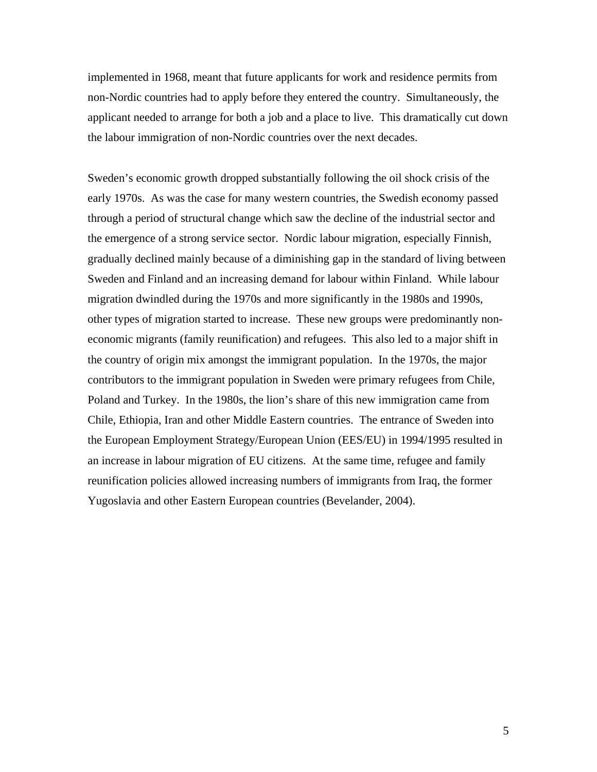implemented in 1968, meant that future applicants for work and residence permits from non-Nordic countries had to apply before they entered the country. Simultaneously, the applicant needed to arrange for both a job and a place to live. This dramatically cut down the labour immigration of non-Nordic countries over the next decades.

Sweden's economic growth dropped substantially following the oil shock crisis of the early 1970s. As was the case for many western countries, the Swedish economy passed through a period of structural change which saw the decline of the industrial sector and the emergence of a strong service sector. Nordic labour migration, especially Finnish, gradually declined mainly because of a diminishing gap in the standard of living between Sweden and Finland and an increasing demand for labour within Finland. While labour migration dwindled during the 1970s and more significantly in the 1980s and 1990s, other types of migration started to increase. These new groups were predominantly noneconomic migrants (family reunification) and refugees. This also led to a major shift in the country of origin mix amongst the immigrant population. In the 1970s, the major contributors to the immigrant population in Sweden were primary refugees from Chile, Poland and Turkey. In the 1980s, the lion's share of this new immigration came from Chile, Ethiopia, Iran and other Middle Eastern countries. The entrance of Sweden into the European Employment Strategy/European Union (EES/EU) in 1994/1995 resulted in an increase in labour migration of EU citizens. At the same time, refugee and family reunification policies allowed increasing numbers of immigrants from Iraq, the former Yugoslavia and other Eastern European countries (Bevelander, 2004).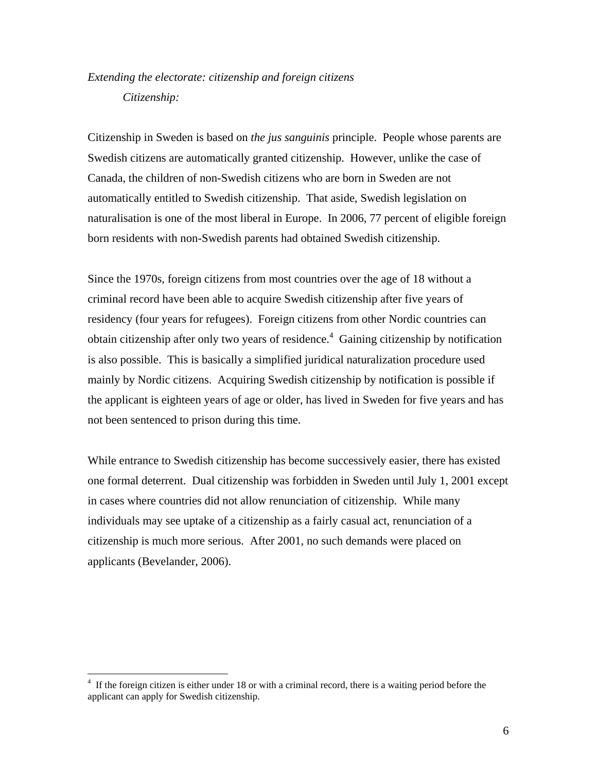### *Extending the electorate: citizenship and foreign citizens Citizenship:*

Citizenship in Sweden is based on *the jus sanguinis* principle. People whose parents are Swedish citizens are automatically granted citizenship. However, unlike the case of Canada, the children of non-Swedish citizens who are born in Sweden are not automatically entitled to Swedish citizenship. That aside, Swedish legislation on naturalisation is one of the most liberal in Europe. In 2006, 77 percent of eligible foreign born residents with non-Swedish parents had obtained Swedish citizenship.

Since the 1970s, foreign citizens from most countries over the age of 18 without a criminal record have been able to acquire Swedish citizenship after five years of residency (four years for refugees). Foreign citizens from other Nordic countries can obtain citizenship after only two years of residence.<sup>4</sup> Gaining citizenship by notification is also possible. This is basically a simplified juridical naturalization procedure used mainly by Nordic citizens. Acquiring Swedish citizenship by notification is possible if the applicant is eighteen years of age or older, has lived in Sweden for five years and has not been sentenced to prison during this time.

While entrance to Swedish citizenship has become successively easier, there has existed one formal deterrent. Dual citizenship was forbidden in Sweden until July 1, 2001 except in cases where countries did not allow renunciation of citizenship. While many individuals may see uptake of a citizenship as a fairly casual act, renunciation of a citizenship is much more serious. After 2001, no such demands were placed on applicants (Bevelander, 2006).

1

<span id="page-7-0"></span><sup>4</sup> If the foreign citizen is either under 18 or with a criminal record, there is a waiting period before the applicant can apply for Swedish citizenship.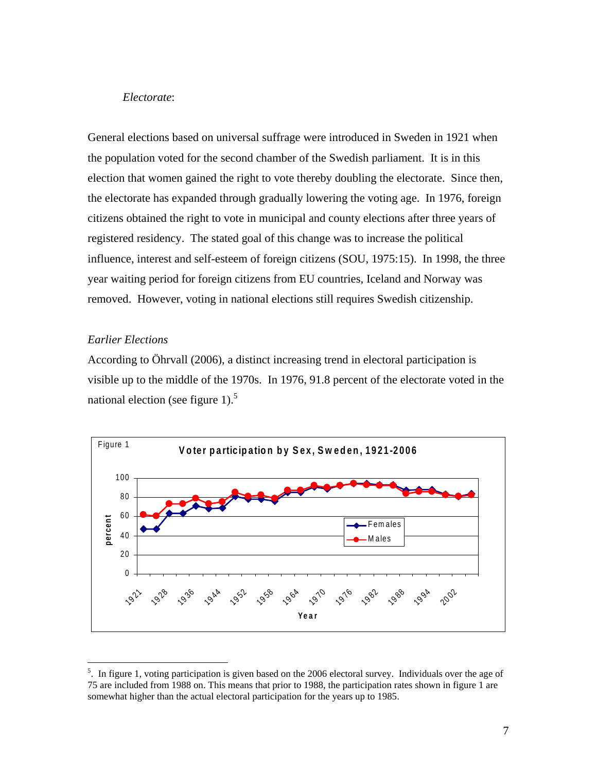#### *Electorate*:

General elections based on universal suffrage were introduced in Sweden in 1921 when the population voted for the second chamber of the Swedish parliament. It is in this election that women gained the right to vote thereby doubling the electorate. Since then, the electorate has expanded through gradually lowering the voting age. In 1976, foreign citizens obtained the right to vote in municipal and county elections after three years of registered residency. The stated goal of this change was to increase the political influence, interest and self-esteem of foreign citizens (SOU, 1975:15). In 1998, the three year waiting period for foreign citizens from EU countries, Iceland and Norway was removed. However, voting in national elections still requires Swedish citizenship.

### *Earlier Elections*

1

According to Öhrvall (2006), a distinct increasing trend in electoral participation is visible up to the middle of the 1970s. In 1976, 91.8 percent of the electorate voted in the national election (see figure 1).<sup>[5](#page-8-0)</sup>



<span id="page-8-0"></span><sup>&</sup>lt;sup>5</sup>. In figure 1, voting participation is given based on the 2006 electoral survey. Individuals over the age of 75 are included from 1988 on. This means that prior to 1988, the participation rates shown in figure 1 are somewhat higher than the actual electoral participation for the years up to 1985.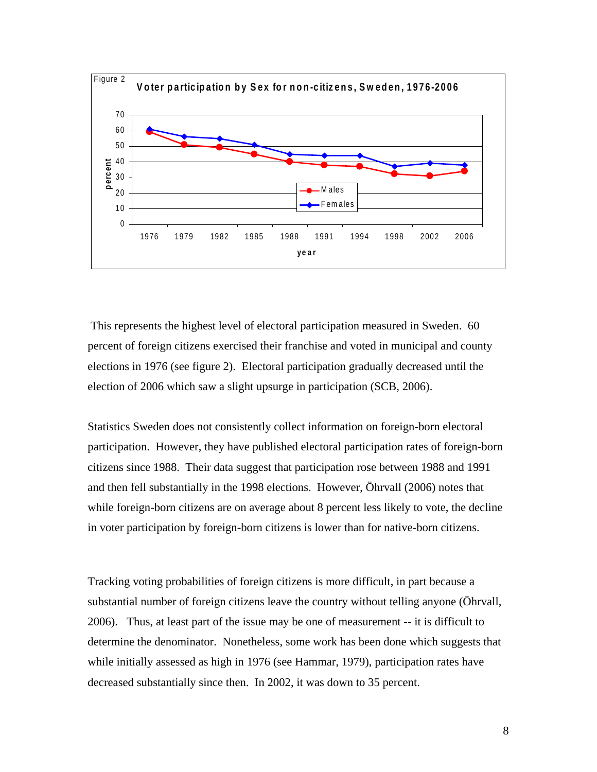

 This represents the highest level of electoral participation measured in Sweden. 60 percent of foreign citizens exercised their franchise and voted in municipal and county elections in 1976 (see figure 2). Electoral participation gradually decreased until the election of 2006 which saw a slight upsurge in participation (SCB, 2006).

Statistics Sweden does not consistently collect information on foreign-born electoral participation. However, they have published electoral participation rates of foreign-born citizens since 1988. Their data suggest that participation rose between 1988 and 1991 and then fell substantially in the 1998 elections. However, Öhrvall (2006) notes that while foreign-born citizens are on average about 8 percent less likely to vote, the decline in voter participation by foreign-born citizens is lower than for native-born citizens.

Tracking voting probabilities of foreign citizens is more difficult, in part because a substantial number of foreign citizens leave the country without telling anyone (Öhrvall, 2006). Thus, at least part of the issue may be one of measurement -- it is difficult to determine the denominator. Nonetheless, some work has been done which suggests that while initially assessed as high in 1976 (see Hammar, 1979), participation rates have decreased substantially since then. In 2002, it was down to 35 percent.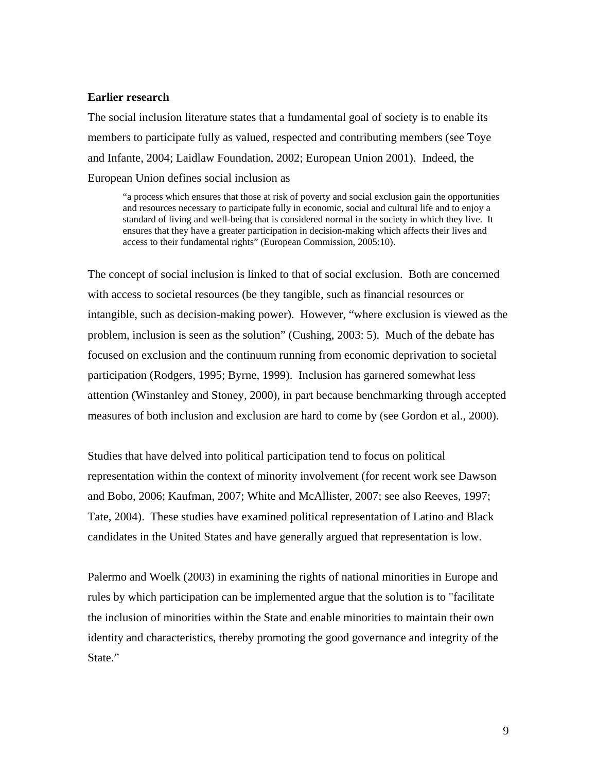#### **Earlier research**

The social inclusion literature states that a fundamental goal of society is to enable its members to participate fully as valued, respected and contributing members (see Toye and Infante, 2004; Laidlaw Foundation, 2002; European Union 2001). Indeed, the European Union defines social inclusion as

"a process which ensures that those at risk of poverty and social exclusion gain the opportunities and resources necessary to participate fully in economic, social and cultural life and to enjoy a standard of living and well-being that is considered normal in the society in which they live. It ensures that they have a greater participation in decision-making which affects their lives and access to their fundamental rights" (European Commission, 2005:10).

The concept of social inclusion is linked to that of social exclusion. Both are concerned with access to societal resources (be they tangible, such as financial resources or intangible, such as decision-making power). However, "where exclusion is viewed as the problem, inclusion is seen as the solution" (Cushing, 2003: 5). Much of the debate has focused on exclusion and the continuum running from economic deprivation to societal participation (Rodgers, 1995; Byrne, 1999). Inclusion has garnered somewhat less attention (Winstanley and Stoney, 2000), in part because benchmarking through accepted measures of both inclusion and exclusion are hard to come by (see Gordon et al., 2000).

Studies that have delved into political participation tend to focus on political representation within the context of minority involvement (for recent work see Dawson and Bobo, 2006; Kaufman, 2007; White and McAllister, 2007; see also Reeves, 1997; Tate, 2004). These studies have examined political representation of Latino and Black candidates in the United States and have generally argued that representation is low.

Palermo and Woelk (2003) in examining the rights of national minorities in Europe and rules by which participation can be implemented argue that the solution is to "facilitate the inclusion of minorities within the State and enable minorities to maintain their own identity and characteristics, thereby promoting the good governance and integrity of the State."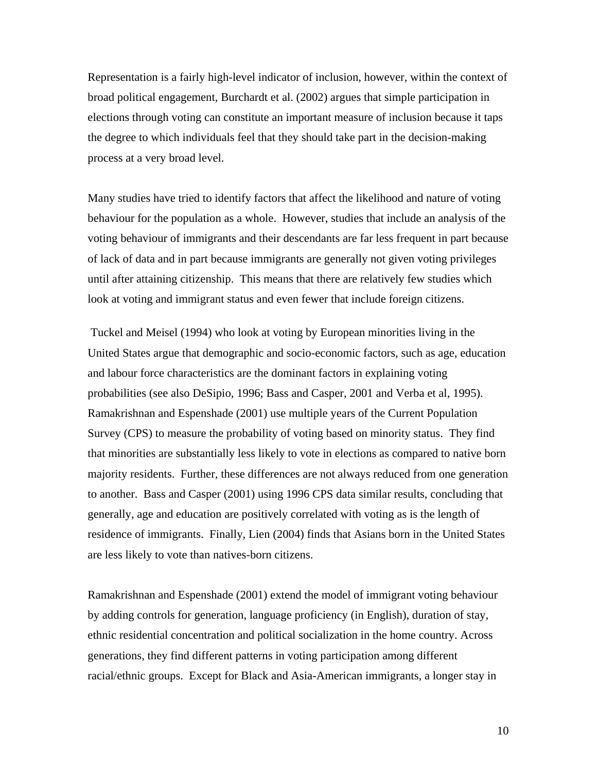Representation is a fairly high-level indicator of inclusion, however, within the context of broad political engagement, Burchardt et al. (2002) argues that simple participation in elections through voting can constitute an important measure of inclusion because it taps the degree to which individuals feel that they should take part in the decision-making process at a very broad level.

Many studies have tried to identify factors that affect the likelihood and nature of voting behaviour for the population as a whole. However, studies that include an analysis of the voting behaviour of immigrants and their descendants are far less frequent in part because of lack of data and in part because immigrants are generally not given voting privileges until after attaining citizenship. This means that there are relatively few studies which look at voting and immigrant status and even fewer that include foreign citizens.

 Tuckel and Meisel (1994) who look at voting by European minorities living in the United States argue that demographic and socio-economic factors, such as age, education and labour force characteristics are the dominant factors in explaining voting probabilities (see also DeSipio, 1996; Bass and Casper, 2001 and Verba et al, 1995). Ramakrishnan and Espenshade (2001) use multiple years of the Current Population Survey (CPS) to measure the probability of voting based on minority status. They find that minorities are substantially less likely to vote in elections as compared to native born majority residents. Further, these differences are not always reduced from one generation to another. Bass and Casper (2001) using 1996 CPS data similar results, concluding that generally, age and education are positively correlated with voting as is the length of residence of immigrants. Finally, Lien (2004) finds that Asians born in the United States are less likely to vote than natives-born citizens.

Ramakrishnan and Espenshade (2001) extend the model of immigrant voting behaviour by adding controls for generation, language proficiency (in English), duration of stay, ethnic residential concentration and political socialization in the home country. Across generations, they find different patterns in voting participation among different racial/ethnic groups. Except for Black and Asia-American immigrants, a longer stay in

10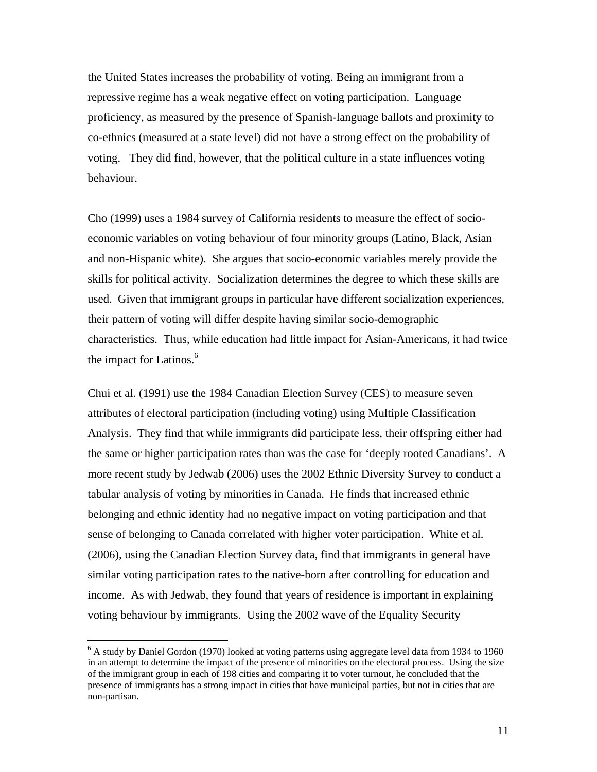the United States increases the probability of voting. Being an immigrant from a repressive regime has a weak negative effect on voting participation. Language proficiency, as measured by the presence of Spanish-language ballots and proximity to co-ethnics (measured at a state level) did not have a strong effect on the probability of voting. They did find, however, that the political culture in a state influences voting behaviour.

Cho (1999) uses a 1984 survey of California residents to measure the effect of socioeconomic variables on voting behaviour of four minority groups (Latino, Black, Asian and non-Hispanic white). She argues that socio-economic variables merely provide the skills for political activity. Socialization determines the degree to which these skills are used. Given that immigrant groups in particular have different socialization experiences, their pattern of voting will differ despite having similar socio-demographic characteristics. Thus, while education had little impact for Asian-Americans, it had twice the impact for Latinos. 6 

Chui et al. (1991) use the 1984 Canadian Election Survey (CES) to measure seven attributes of electoral participation (including voting) using Multiple Classification Analysis. They find that while immigrants did participate less, their offspring either had the same or higher participation rates than was the case for 'deeply rooted Canadians'. A more recent study by Jedwab (2006) uses the 2002 Ethnic Diversity Survey to conduct a tabular analysis of voting by minorities in Canada. He finds that increased ethnic belonging and ethnic identity had no negative impact on voting participation and that sense of belonging to Canada correlated with higher voter participation. White et al. (2006), using the Canadian Election Survey data, find that immigrants in general have similar voting participation rates to the native-born after controlling for education and income. As with Jedwab, they found that years of residence is important in explaining voting behaviour by immigrants. Using the 2002 wave of the Equality Security

 $\overline{a}$ 

<span id="page-12-0"></span><sup>&</sup>lt;sup>6</sup> A study by Daniel Gordon (1970) looked at voting patterns using aggregate level data from 1934 to 1960 in an attempt to determine the impact of the presence of minorities on the electoral process. Using the size of the immigrant group in each of 198 cities and comparing it to voter turnout, he concluded that the presence of immigrants has a strong impact in cities that have municipal parties, but not in cities that are non-partisan.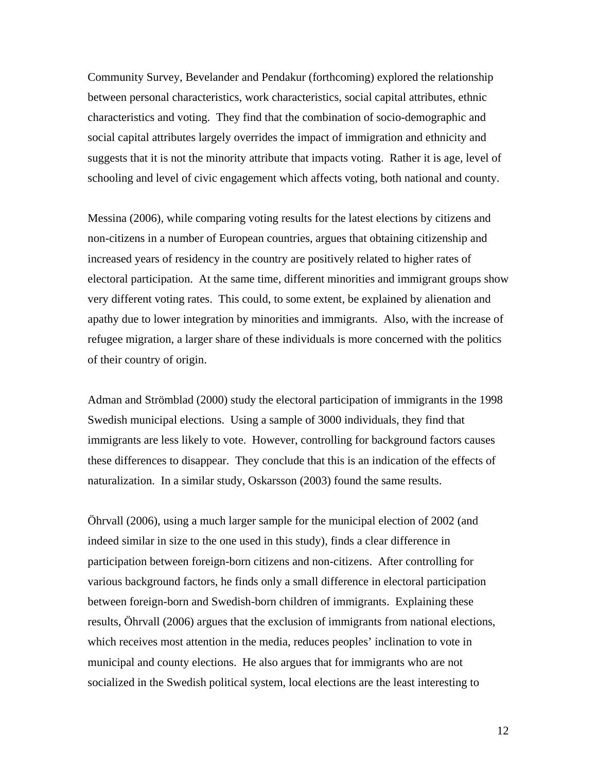Community Survey, Bevelander and Pendakur (forthcoming) explored the relationship between personal characteristics, work characteristics, social capital attributes, ethnic characteristics and voting. They find that the combination of socio-demographic and social capital attributes largely overrides the impact of immigration and ethnicity and suggests that it is not the minority attribute that impacts voting. Rather it is age, level of schooling and level of civic engagement which affects voting, both national and county.

Messina (2006), while comparing voting results for the latest elections by citizens and non-citizens in a number of European countries, argues that obtaining citizenship and increased years of residency in the country are positively related to higher rates of electoral participation. At the same time, different minorities and immigrant groups show very different voting rates. This could, to some extent, be explained by alienation and apathy due to lower integration by minorities and immigrants. Also, with the increase of refugee migration, a larger share of these individuals is more concerned with the politics of their country of origin.

Adman and Strömblad (2000) study the electoral participation of immigrants in the 1998 Swedish municipal elections. Using a sample of 3000 individuals, they find that immigrants are less likely to vote. However, controlling for background factors causes these differences to disappear. They conclude that this is an indication of the effects of naturalization. In a similar study, Oskarsson (2003) found the same results.

Öhrvall (2006), using a much larger sample for the municipal election of 2002 (and indeed similar in size to the one used in this study), finds a clear difference in participation between foreign-born citizens and non-citizens. After controlling for various background factors, he finds only a small difference in electoral participation between foreign-born and Swedish-born children of immigrants. Explaining these results, Öhrvall (2006) argues that the exclusion of immigrants from national elections, which receives most attention in the media, reduces peoples' inclination to vote in municipal and county elections. He also argues that for immigrants who are not socialized in the Swedish political system, local elections are the least interesting to

12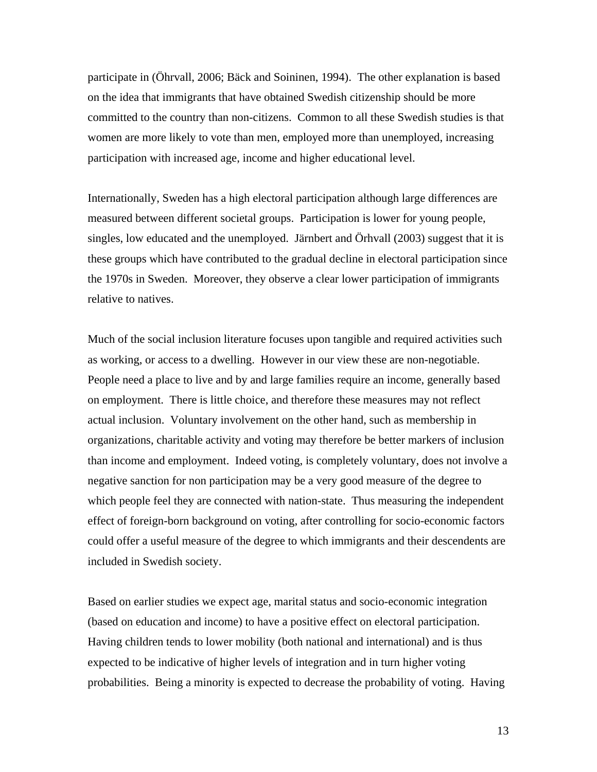participate in (Öhrvall, 2006; Bäck and Soininen, 1994). The other explanation is based on the idea that immigrants that have obtained Swedish citizenship should be more committed to the country than non-citizens. Common to all these Swedish studies is that women are more likely to vote than men, employed more than unemployed, increasing participation with increased age, income and higher educational level.

Internationally, Sweden has a high electoral participation although large differences are measured between different societal groups. Participation is lower for young people, singles, low educated and the unemployed. Järnbert and Örhvall (2003) suggest that it is these groups which have contributed to the gradual decline in electoral participation since the 1970s in Sweden. Moreover, they observe a clear lower participation of immigrants relative to natives.

Much of the social inclusion literature focuses upon tangible and required activities such as working, or access to a dwelling. However in our view these are non-negotiable. People need a place to live and by and large families require an income, generally based on employment. There is little choice, and therefore these measures may not reflect actual inclusion. Voluntary involvement on the other hand, such as membership in organizations, charitable activity and voting may therefore be better markers of inclusion than income and employment. Indeed voting, is completely voluntary, does not involve a negative sanction for non participation may be a very good measure of the degree to which people feel they are connected with nation-state. Thus measuring the independent effect of foreign-born background on voting, after controlling for socio-economic factors could offer a useful measure of the degree to which immigrants and their descendents are included in Swedish society.

Based on earlier studies we expect age, marital status and socio-economic integration (based on education and income) to have a positive effect on electoral participation. Having children tends to lower mobility (both national and international) and is thus expected to be indicative of higher levels of integration and in turn higher voting probabilities. Being a minority is expected to decrease the probability of voting. Having

13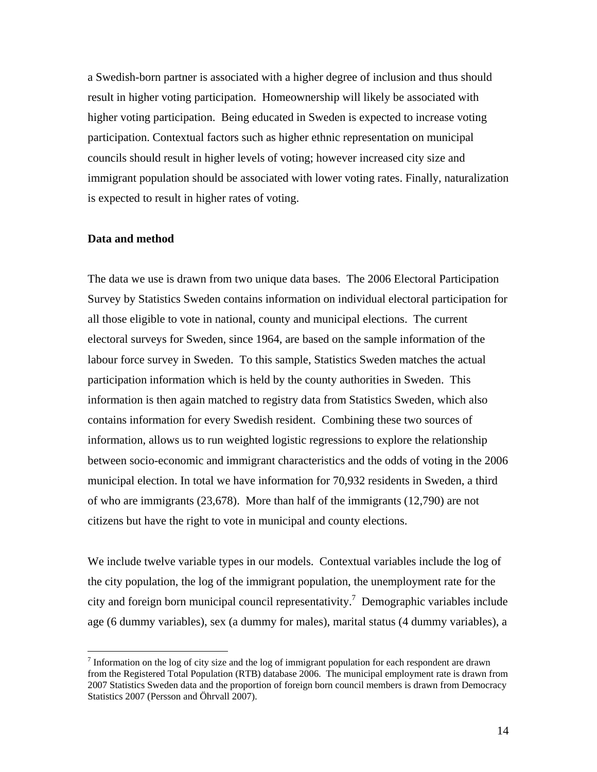a Swedish-born partner is associated with a higher degree of inclusion and thus should result in higher voting participation. Homeownership will likely be associated with higher voting participation. Being educated in Sweden is expected to increase voting participation. Contextual factors such as higher ethnic representation on municipal councils should result in higher levels of voting; however increased city size and immigrant population should be associated with lower voting rates. Finally, naturalization is expected to result in higher rates of voting.

#### **Data and method**

<u>.</u>

The data we use is drawn from two unique data bases. The 2006 Electoral Participation Survey by Statistics Sweden contains information on individual electoral participation for all those eligible to vote in national, county and municipal elections. The current electoral surveys for Sweden, since 1964, are based on the sample information of the labour force survey in Sweden. To this sample, Statistics Sweden matches the actual participation information which is held by the county authorities in Sweden. This information is then again matched to registry data from Statistics Sweden, which also contains information for every Swedish resident. Combining these two sources of information, allows us to run weighted logistic regressions to explore the relationship between socio-economic and immigrant characteristics and the odds of voting in the 2006 municipal election. In total we have information for 70,932 residents in Sweden, a third of who are immigrants (23,678). More than half of the immigrants (12,790) are not citizens but have the right to vote in municipal and county elections.

We include twelve variable types in our models. Contextual variables include the log of the city population, the log of the immigrant population, the unemployment rate for the city and foreign born municipal council representativity.<sup>7</sup> Demographic variables include age (6 dummy variables), sex (a dummy for males), marital status (4 dummy variables), a

<span id="page-15-0"></span>Information on the log of city size and the log of immigrant population for each respondent are drawn from the Registered Total Population (RTB) database 2006. The municipal employment rate is drawn from 2007 Statistics Sweden data and the proportion of foreign born council members is drawn from Democracy Statistics 2007 (Persson and Öhrvall 2007).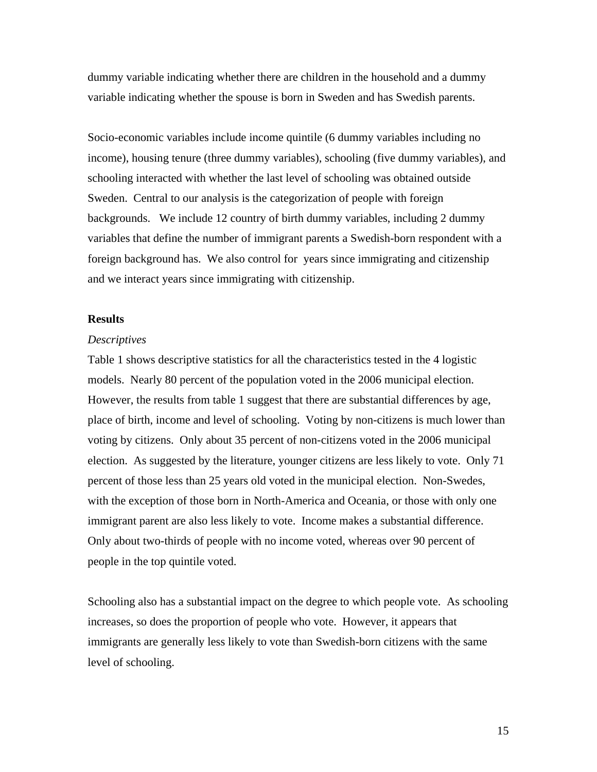dummy variable indicating whether there are children in the household and a dummy variable indicating whether the spouse is born in Sweden and has Swedish parents.

Socio-economic variables include income quintile (6 dummy variables including no income), housing tenure (three dummy variables), schooling (five dummy variables), and schooling interacted with whether the last level of schooling was obtained outside Sweden. Central to our analysis is the categorization of people with foreign backgrounds. We include 12 country of birth dummy variables, including 2 dummy variables that define the number of immigrant parents a Swedish-born respondent with a foreign background has. We also control for years since immigrating and citizenship and we interact years since immigrating with citizenship.

#### **Results**

#### *Descriptives*

Table 1 shows descriptive statistics for all the characteristics tested in the 4 logistic models. Nearly 80 percent of the population voted in the 2006 municipal election. However, the results from table 1 suggest that there are substantial differences by age, place of birth, income and level of schooling. Voting by non-citizens is much lower than voting by citizens. Only about 35 percent of non-citizens voted in the 2006 municipal election. As suggested by the literature, younger citizens are less likely to vote. Only 71 percent of those less than 25 years old voted in the municipal election. Non-Swedes, with the exception of those born in North-America and Oceania, or those with only one immigrant parent are also less likely to vote. Income makes a substantial difference. Only about two-thirds of people with no income voted, whereas over 90 percent of people in the top quintile voted.

Schooling also has a substantial impact on the degree to which people vote. As schooling increases, so does the proportion of people who vote. However, it appears that immigrants are generally less likely to vote than Swedish-born citizens with the same level of schooling.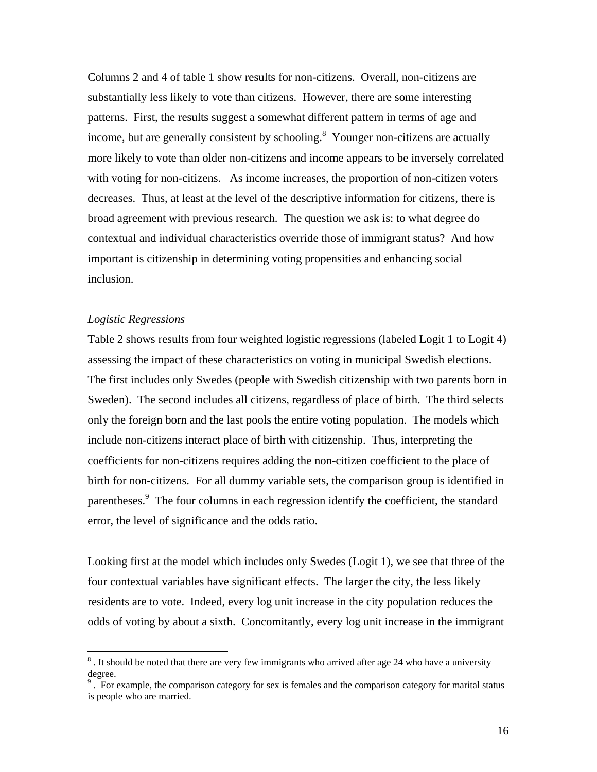Columns 2 and 4 of table 1 show results for non-citizens. Overall, non-citizens are substantially less likely to vote than citizens. However, there are some interesting patterns. First, the results suggest a somewhat different pattern in terms of age and income, but are generally consistent by schooling. $8$  Younger non-citizens are actually more likely to vote than older non-citizens and income appears to be inversely correlated with voting for non-citizens. As income increases, the proportion of non-citizen voters decreases. Thus, at least at the level of the descriptive information for citizens, there is broad agreement with previous research. The question we ask is: to what degree do contextual and individual characteristics override those of immigrant status? And how important is citizenship in determining voting propensities and enhancing social inclusion.

#### *Logistic Regressions*

<u>.</u>

Table 2 shows results from four weighted logistic regressions (labeled Logit 1 to Logit 4) assessing the impact of these characteristics on voting in municipal Swedish elections. The first includes only Swedes (people with Swedish citizenship with two parents born in Sweden). The second includes all citizens, regardless of place of birth. The third selects only the foreign born and the last pools the entire voting population. The models which include non-citizens interact place of birth with citizenship. Thus, interpreting the coefficients for non-citizens requires adding the non-citizen coefficient to the place of birth for non-citizens. For all dummy variable sets, the comparison group is identified in parentheses.<sup>9</sup> The four columns in each regression identify the coefficient, the standard error, the level of significance and the odds ratio.

Looking first at the model which includes only Swedes (Logit 1), we see that three of the four contextual variables have significant effects. The larger the city, the less likely residents are to vote. Indeed, every log unit increase in the city population reduces the odds of voting by about a sixth. Concomitantly, every log unit increase in the immigrant

<span id="page-17-0"></span> $8$ . It should be noted that there are very few immigrants who arrived after age 24 who have a university degree.

<span id="page-17-1"></span> $\overline{9}$ . For example, the comparison category for sex is females and the comparison category for marital status is people who are married.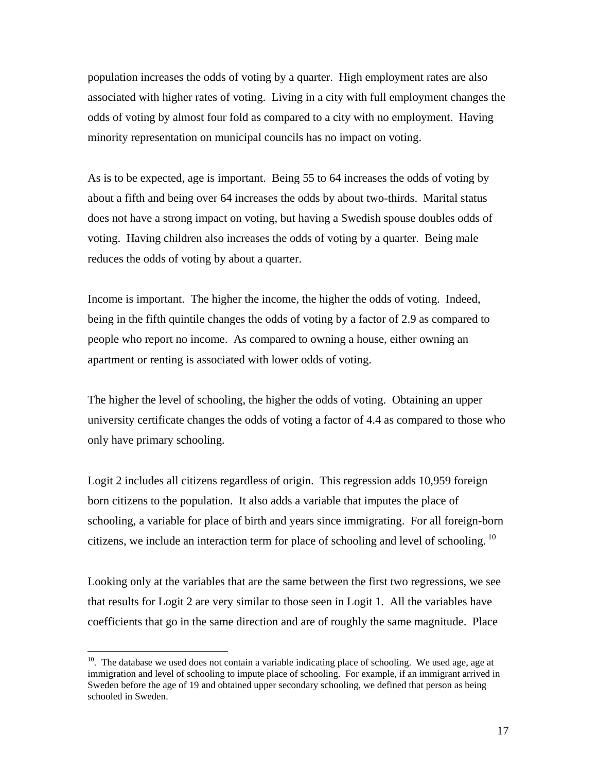population increases the odds of voting by a quarter. High employment rates are also associated with higher rates of voting. Living in a city with full employment changes the odds of voting by almost four fold as compared to a city with no employment. Having minority representation on municipal councils has no impact on voting.

As is to be expected, age is important. Being 55 to 64 increases the odds of voting by about a fifth and being over 64 increases the odds by about two-thirds. Marital status does not have a strong impact on voting, but having a Swedish spouse doubles odds of voting. Having children also increases the odds of voting by a quarter. Being male reduces the odds of voting by about a quarter.

Income is important. The higher the income, the higher the odds of voting. Indeed, being in the fifth quintile changes the odds of voting by a factor of 2.9 as compared to people who report no income. As compared to owning a house, either owning an apartment or renting is associated with lower odds of voting.

The higher the level of schooling, the higher the odds of voting. Obtaining an upper university certificate changes the odds of voting a factor of 4.4 as compared to those who only have primary schooling.

Logit 2 includes all citizens regardless of origin. This regression adds 10,959 foreign born citizens to the population. It also adds a variable that imputes the place of schooling, a variable for place of birth and years since immigrating. For all foreign-born citizens, we include an interaction term for place of schooling and level of schooling.<sup>10</sup>

Looking only at the variables that are the same between the first two regressions, we see that results for Logit 2 are very similar to those seen in Logit 1. All the variables have coefficients that go in the same direction and are of roughly the same magnitude. Place

<u>.</u>

<span id="page-18-0"></span> $10$ . The database we used does not contain a variable indicating place of schooling. We used age, age at immigration and level of schooling to impute place of schooling. For example, if an immigrant arrived in Sweden before the age of 19 and obtained upper secondary schooling, we defined that person as being schooled in Sweden.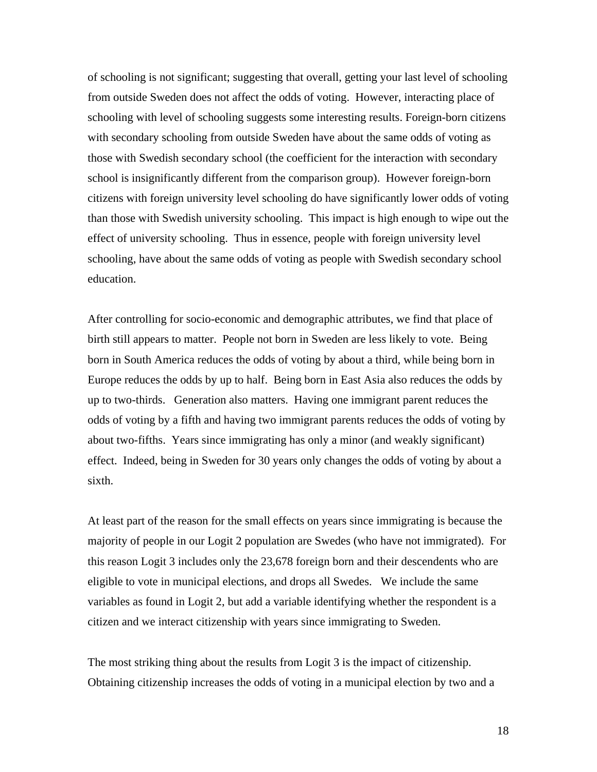of schooling is not significant; suggesting that overall, getting your last level of schooling from outside Sweden does not affect the odds of voting. However, interacting place of schooling with level of schooling suggests some interesting results. Foreign-born citizens with secondary schooling from outside Sweden have about the same odds of voting as those with Swedish secondary school (the coefficient for the interaction with secondary school is insignificantly different from the comparison group). However foreign-born citizens with foreign university level schooling do have significantly lower odds of voting than those with Swedish university schooling. This impact is high enough to wipe out the effect of university schooling. Thus in essence, people with foreign university level schooling, have about the same odds of voting as people with Swedish secondary school education.

After controlling for socio-economic and demographic attributes, we find that place of birth still appears to matter. People not born in Sweden are less likely to vote. Being born in South America reduces the odds of voting by about a third, while being born in Europe reduces the odds by up to half. Being born in East Asia also reduces the odds by up to two-thirds. Generation also matters. Having one immigrant parent reduces the odds of voting by a fifth and having two immigrant parents reduces the odds of voting by about two-fifths. Years since immigrating has only a minor (and weakly significant) effect. Indeed, being in Sweden for 30 years only changes the odds of voting by about a sixth.

At least part of the reason for the small effects on years since immigrating is because the majority of people in our Logit 2 population are Swedes (who have not immigrated). For this reason Logit 3 includes only the 23,678 foreign born and their descendents who are eligible to vote in municipal elections, and drops all Swedes. We include the same variables as found in Logit 2, but add a variable identifying whether the respondent is a citizen and we interact citizenship with years since immigrating to Sweden.

The most striking thing about the results from Logit 3 is the impact of citizenship. Obtaining citizenship increases the odds of voting in a municipal election by two and a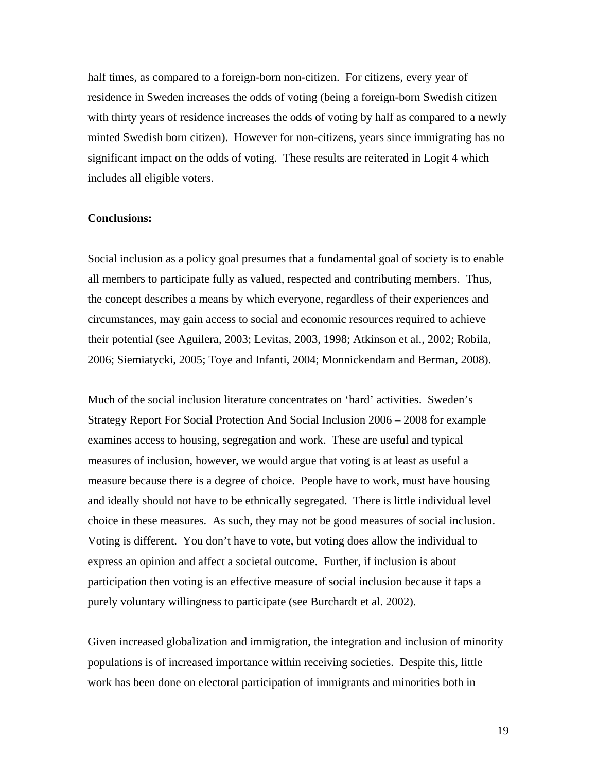half times, as compared to a foreign-born non-citizen. For citizens, every year of residence in Sweden increases the odds of voting (being a foreign-born Swedish citizen with thirty years of residence increases the odds of voting by half as compared to a newly minted Swedish born citizen). However for non-citizens, years since immigrating has no significant impact on the odds of voting. These results are reiterated in Logit 4 which includes all eligible voters.

#### **Conclusions:**

Social inclusion as a policy goal presumes that a fundamental goal of society is to enable all members to participate fully as valued, respected and contributing members. Thus, the concept describes a means by which everyone, regardless of their experiences and circumstances, may gain access to social and economic resources required to achieve their potential (see Aguilera, 2003; Levitas, 2003, 1998; Atkinson et al., 2002; Robila, 2006; Siemiatycki, 2005; Toye and Infanti, 2004; Monnickendam and Berman, 2008).

Much of the social inclusion literature concentrates on 'hard' activities. Sweden's Strategy Report For Social Protection And Social Inclusion 2006 – 2008 for example examines access to housing, segregation and work. These are useful and typical measures of inclusion, however, we would argue that voting is at least as useful a measure because there is a degree of choice. People have to work, must have housing and ideally should not have to be ethnically segregated. There is little individual level choice in these measures. As such, they may not be good measures of social inclusion. Voting is different. You don't have to vote, but voting does allow the individual to express an opinion and affect a societal outcome. Further, if inclusion is about participation then voting is an effective measure of social inclusion because it taps a purely voluntary willingness to participate (see Burchardt et al. 2002).

Given increased globalization and immigration, the integration and inclusion of minority populations is of increased importance within receiving societies. Despite this, little work has been done on electoral participation of immigrants and minorities both in

19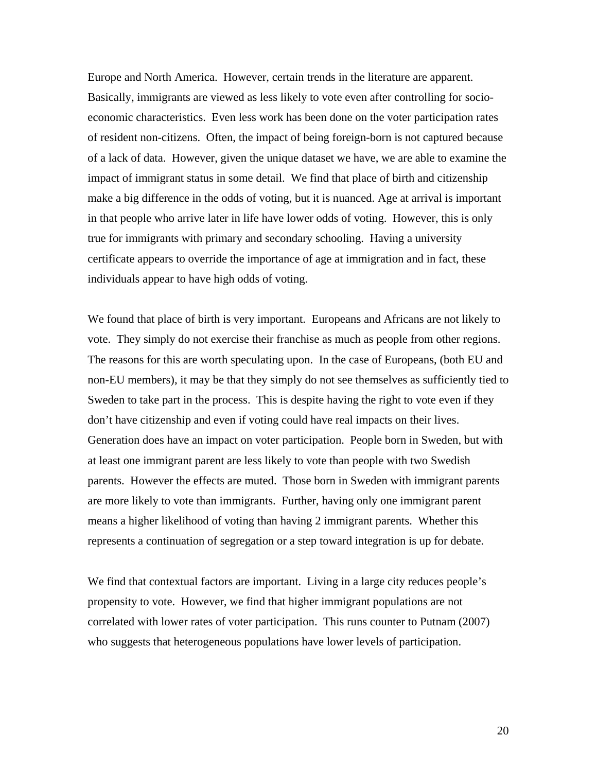Europe and North America. However, certain trends in the literature are apparent. Basically, immigrants are viewed as less likely to vote even after controlling for socioeconomic characteristics. Even less work has been done on the voter participation rates of resident non-citizens. Often, the impact of being foreign-born is not captured because of a lack of data. However, given the unique dataset we have, we are able to examine the impact of immigrant status in some detail. We find that place of birth and citizenship make a big difference in the odds of voting, but it is nuanced. Age at arrival is important in that people who arrive later in life have lower odds of voting. However, this is only true for immigrants with primary and secondary schooling. Having a university certificate appears to override the importance of age at immigration and in fact, these individuals appear to have high odds of voting.

We found that place of birth is very important. Europeans and Africans are not likely to vote. They simply do not exercise their franchise as much as people from other regions. The reasons for this are worth speculating upon. In the case of Europeans, (both EU and non-EU members), it may be that they simply do not see themselves as sufficiently tied to Sweden to take part in the process. This is despite having the right to vote even if they don't have citizenship and even if voting could have real impacts on their lives. Generation does have an impact on voter participation. People born in Sweden, but with at least one immigrant parent are less likely to vote than people with two Swedish parents. However the effects are muted. Those born in Sweden with immigrant parents are more likely to vote than immigrants. Further, having only one immigrant parent means a higher likelihood of voting than having 2 immigrant parents. Whether this represents a continuation of segregation or a step toward integration is up for debate.

We find that contextual factors are important. Living in a large city reduces people's propensity to vote. However, we find that higher immigrant populations are not correlated with lower rates of voter participation. This runs counter to Putnam (2007) who suggests that heterogeneous populations have lower levels of participation.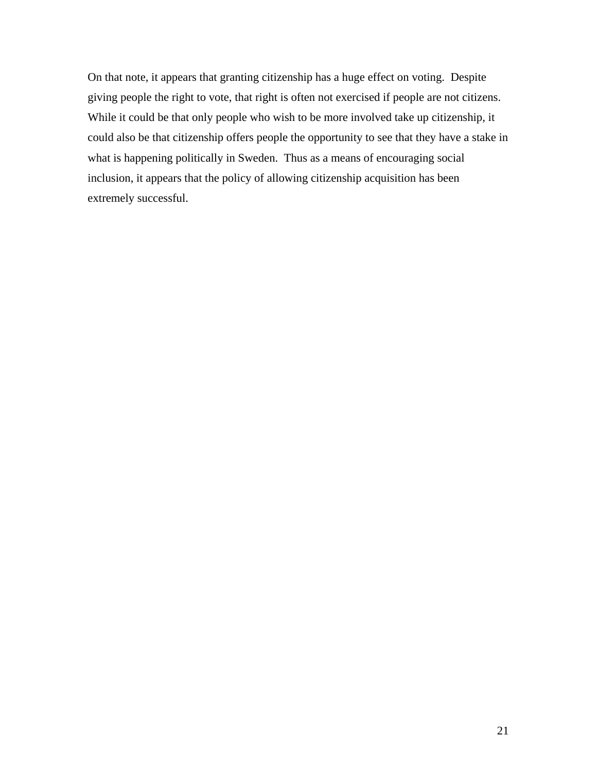On that note, it appears that granting citizenship has a huge effect on voting. Despite giving people the right to vote, that right is often not exercised if people are not citizens. While it could be that only people who wish to be more involved take up citizenship, it could also be that citizenship offers people the opportunity to see that they have a stake in what is happening politically in Sweden. Thus as a means of encouraging social inclusion, it appears that the policy of allowing citizenship acquisition has been extremely successful.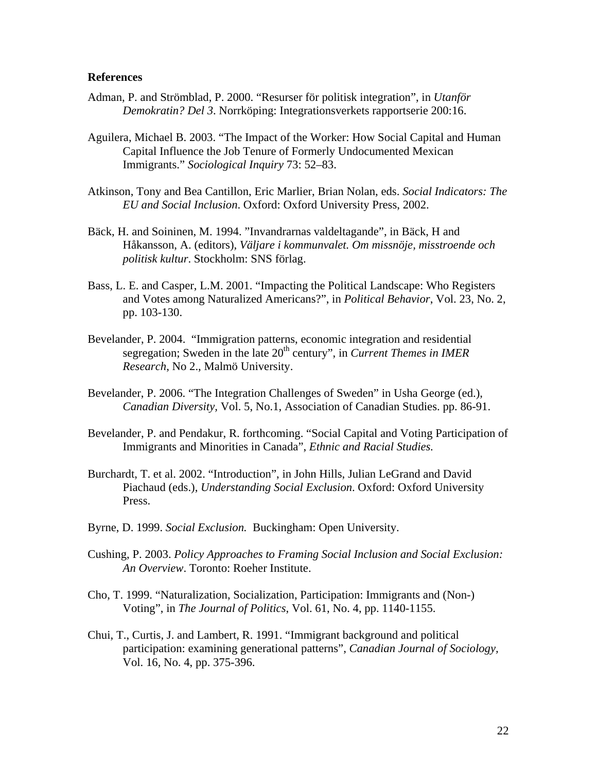#### **References**

- Adman, P. and Strömblad, P. 2000. "Resurser för politisk integration", in *Utanför Demokratin? Del 3*. Norrköping: Integrationsverkets rapportserie 200:16.
- Aguilera, Michael B. 2003. "The Impact of the Worker: How Social Capital and Human Capital Influence the Job Tenure of Formerly Undocumented Mexican Immigrants." *Sociological Inquiry* 73: 52–83.
- Atkinson, Tony and Bea Cantillon, Eric Marlier, Brian Nolan, eds. *Social Indicators: The EU and Social Inclusion*. Oxford: Oxford University Press, 2002.
- Bäck, H. and Soininen, M. 1994. "Invandrarnas valdeltagande", in Bäck, H and Håkansson, A. (editors), *Väljare i kommunvalet. Om missnöje, misstroende och politisk kultur*. Stockholm: SNS förlag.
- Bass, L. E. and Casper, L.M. 2001. "Impacting the Political Landscape: Who Registers and Votes among Naturalized Americans?", in *Political Behavior*, Vol. 23, No. 2, pp. 103-130.
- Bevelander, P. 2004. "Immigration patterns, economic integration and residential segregation; Sweden in the late 20<sup>th</sup> century", in *Current Themes in IMER Research*, No 2., Malmö University.
- Bevelander, P. 2006. "The Integration Challenges of Sweden" in Usha George (ed.), *Canadian Diversity,* Vol. 5, No.1, Association of Canadian Studies. pp. 86-91.
- Bevelander, P. and Pendakur, R. forthcoming. "Social Capital and Voting Participation of Immigrants and Minorities in Canada", *Ethnic and Racial Studies.*
- Burchardt, T. et al. 2002. "Introduction", in John Hills, Julian LeGrand and David Piachaud (eds.), *Understanding Social Exclusion*. Oxford: Oxford University Press.
- Byrne, D. 1999. *Social Exclusion.* Buckingham: Open University.
- Cushing, P. 2003. *Policy Approaches to Framing Social Inclusion and Social Exclusion: An Overview*. Toronto: Roeher Institute.
- Cho, T. 1999. "Naturalization, Socialization, Participation: Immigrants and (Non-) Voting", in *The Journal of Politics*, Vol. 61, No. 4, pp. 1140-1155.
- Chui, T., Curtis, J. and Lambert, R. 1991. "Immigrant background and political participation: examining generational patterns", *Canadian Journal of Sociology,* Vol. 16, No. 4, pp. 375-396.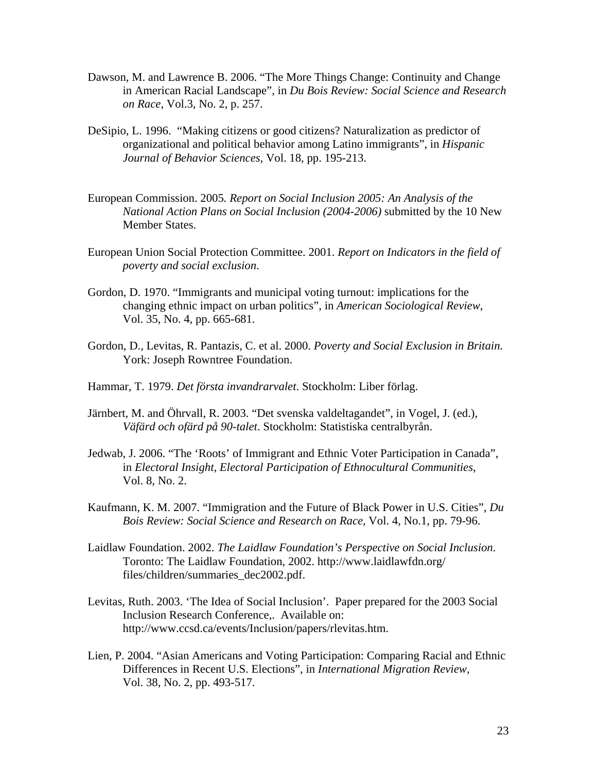- Dawson, M. and Lawrence B. 2006. "The More Things Change: Continuity and Change in American Racial Landscape", in *Du Bois Review: Social Science and Research on Race*, Vol.3, No. 2, p. 257.
- DeSipio, L. 1996. "Making citizens or good citizens? Naturalization as predictor of organizational and political behavior among Latino immigrants", in *Hispanic Journal of Behavior Sciences,* Vol. 18, pp. 195-213.
- European Commission. 2005*. Report on Social Inclusion 2005: An Analysis of the National Action Plans on Social Inclusion (2004-2006)* submitted by the 10 New Member States.
- European Union Social Protection Committee. 2001. *Report on Indicators in the field of poverty and social exclusion*.
- Gordon, D. 1970. "Immigrants and municipal voting turnout: implications for the changing ethnic impact on urban politics", in *American Sociological Review*, Vol. 35, No. 4, pp. 665-681.
- Gordon, D., Levitas, R. Pantazis, C. et al. 2000. *Poverty and Social Exclusion in Britain*. York: Joseph Rowntree Foundation.
- Hammar, T. 1979. *Det första invandrarvalet*. Stockholm: Liber förlag.
- Järnbert, M. and Öhrvall, R. 2003. "Det svenska valdeltagandet", in Vogel, J. (ed.), *Väfärd och ofärd på 90-talet*. Stockholm: Statistiska centralbyrån.
- Jedwab, J. 2006. "The 'Roots' of Immigrant and Ethnic Voter Participation in Canada", in *Electoral Insight, Electoral Participation of Ethnocultural Communities*, Vol. 8, No. 2.
- Kaufmann, K. M. 2007. "Immigration and the Future of Black Power in U.S. Cities", *Du Bois Review: Social Science and Research on Race*, Vol. 4, No.1, pp. 79-96.
- Laidlaw Foundation. 2002. *The Laidlaw Foundation's Perspective on Social Inclusion*. Toronto: The Laidlaw Foundation, 2002. http://www.laidlawfdn.org/ files/children/summaries\_dec2002.pdf.
- Levitas, Ruth. 2003. 'The Idea of Social Inclusion'. Paper prepared for the 2003 Social Inclusion Research Conference,. Available on: http://www.ccsd.ca/events/Inclusion/papers/rlevitas.htm.
- Lien, P. 2004. "Asian Americans and Voting Participation: Comparing Racial and Ethnic Differences in Recent U.S. Elections", in *International Migration Review*, Vol. 38, No. 2, pp. 493-517.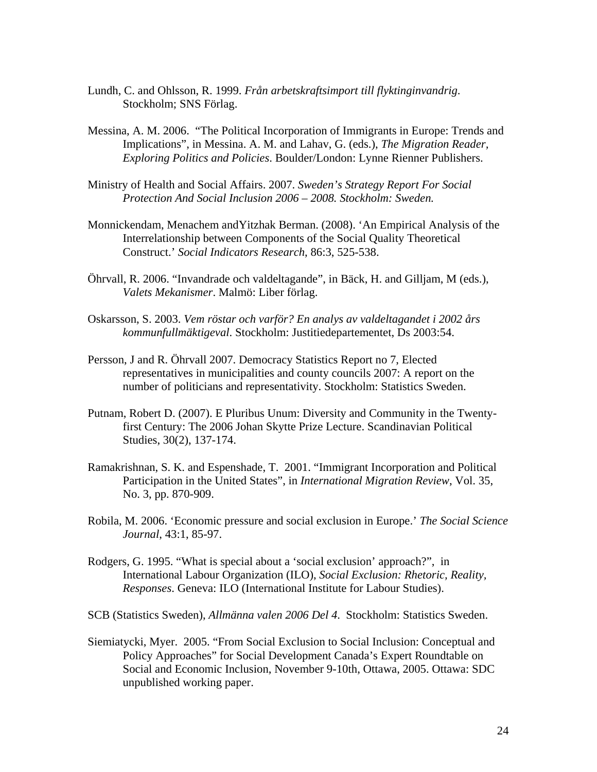- Lundh, C. and Ohlsson, R. 1999. *Från arbetskraftsimport till flyktinginvandrig*. Stockholm; SNS Förlag.
- Messina, A. M. 2006. "The Political Incorporation of Immigrants in Europe: Trends and Implications", in Messina. A. M. and Lahav, G. (eds.), *The Migration Reader, Exploring Politics and Policies*. Boulder/London: Lynne Rienner Publishers.
- Ministry of Health and Social Affairs. 2007. *Sweden's Strategy Report For Social Protection And Social Inclusion 2006 – 2008. Stockholm: Sweden.*
- Monnickendam, Menachem andYitzhak Berman. (2008). 'An Empirical Analysis of the Interrelationship between Components of the Social Quality Theoretical Construct.' *Social Indicators Research*, 86:3, 525-538.
- Öhrvall, R. 2006. "Invandrade och valdeltagande", in Bäck, H. and Gilljam, M (eds.), *Valets Mekanismer*. Malmö: Liber förlag.
- Oskarsson, S. 2003. *Vem röstar och varför? En analys av valdeltagandet i 2002 års kommunfullmäktigeval*. Stockholm: Justitiedepartementet, Ds 2003:54.
- Persson, J and R. Öhrvall 2007. Democracy Statistics Report no 7, Elected representatives in municipalities and county councils 2007: A report on the number of politicians and representativity. Stockholm: Statistics Sweden.
- Putnam, Robert D. (2007). E Pluribus Unum: Diversity and Community in the Twentyfirst Century: The 2006 Johan Skytte Prize Lecture. Scandinavian Political Studies, 30(2), 137-174.
- Ramakrishnan, S. K. and Espenshade, T. 2001. "Immigrant Incorporation and Political Participation in the United States", in *International Migration Review*, Vol. 35, No. 3, pp. 870-909.
- Robila, M. 2006. 'Economic pressure and social exclusion in Europe.' *The Social Science Journal*, 43:1, 85-97.
- Rodgers, G. 1995. "What is special about a 'social exclusion' approach?", in International Labour Organization (ILO), *Social Exclusion: Rhetoric, Reality, Responses*. Geneva: ILO (International Institute for Labour Studies).
- SCB (Statistics Sweden), *Allmänna valen 2006 Del 4*. Stockholm: Statistics Sweden.
- Siemiatycki, Myer. 2005. "From Social Exclusion to Social Inclusion: Conceptual and Policy Approaches" for Social Development Canada's Expert Roundtable on Social and Economic Inclusion, November 9-10th, Ottawa, 2005. Ottawa: SDC unpublished working paper.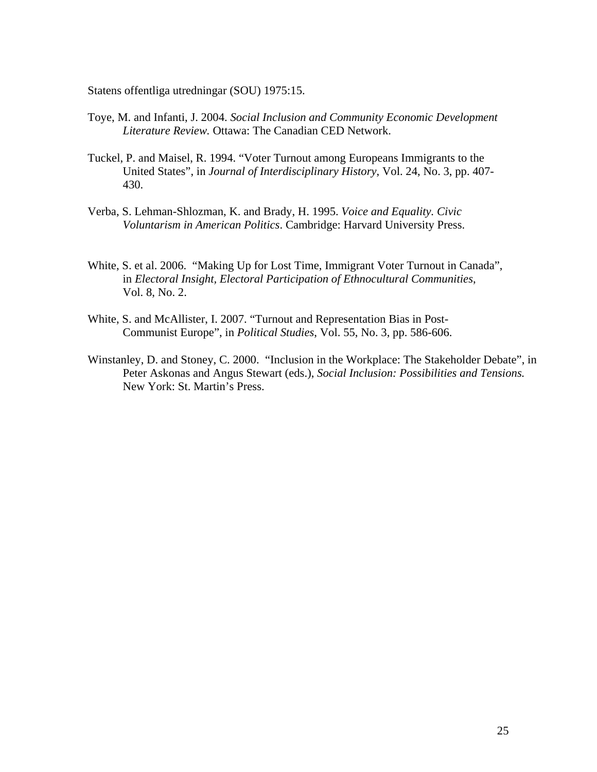Statens offentliga utredningar (SOU) 1975:15.

- Toye, M. and Infanti, J. 2004. *Social Inclusion and Community Economic Development Literature Review.* Ottawa: The Canadian CED Network.
- Tuckel, P. and Maisel, R. 1994. "Voter Turnout among Europeans Immigrants to the United States", in *Journal of Interdisciplinary History*, Vol. 24, No. 3, pp. 407- 430.
- Verba, S. Lehman-Shlozman, K. and Brady, H. 1995. *Voice and Equality. Civic Voluntarism in American Politics*. Cambridge: Harvard University Press.
- White, S. et al. 2006. "Making Up for Lost Time, Immigrant Voter Turnout in Canada", in *Electoral Insight, Electoral Participation of Ethnocultural Communities*, Vol. 8, No. 2.
- White, S. and McAllister, I. 2007. "Turnout and Representation Bias in Post-Communist Europe", in *Political Studies*, Vol. 55, No. 3, pp. 586-606.
- Winstanley, D. and Stoney, C. 2000. "Inclusion in the Workplace: The Stakeholder Debate", in Peter Askonas and Angus Stewart (eds.), *Social Inclusion: Possibilities and Tensions.* New York: St. Martin's Press.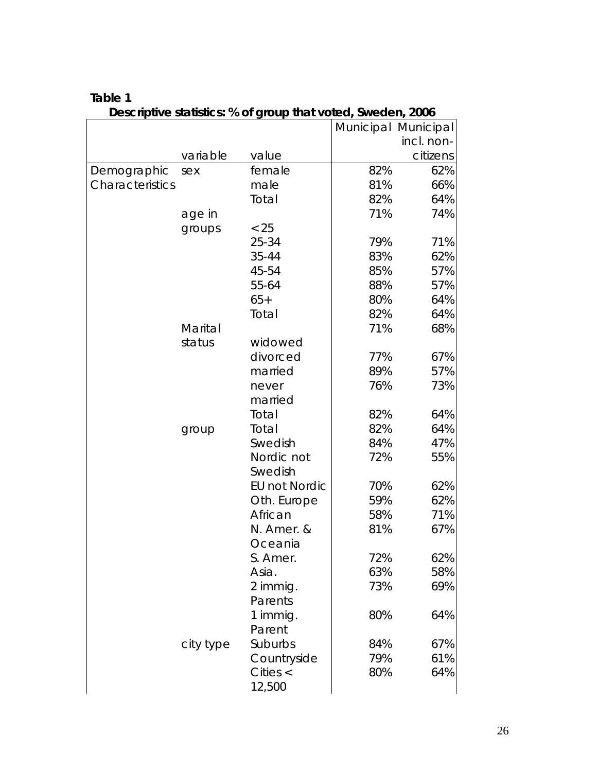|                 |           | $\frac{1}{2}$ statistics. To be group that voical sweaping 2000 |     | Municipal Municipal |
|-----------------|-----------|-----------------------------------------------------------------|-----|---------------------|
|                 |           |                                                                 |     | incl. non-          |
|                 | variable  | value                                                           |     | citizens            |
| Demographic     | sex       | female                                                          | 82% | 62%                 |
| Characteristics |           | male                                                            | 81% | 66%                 |
|                 |           | Total                                                           | 82% | 64%                 |
|                 | age in    |                                                                 | 71% | 74%                 |
|                 | groups    | < 25                                                            |     |                     |
|                 |           | 25-34                                                           | 79% | 71%                 |
|                 |           | 35-44                                                           | 83% | 62%                 |
|                 |           | 45-54                                                           | 85% | 57%                 |
|                 |           | 55-64                                                           | 88% | 57%                 |
|                 |           | $65+$                                                           | 80% | 64%                 |
|                 |           | Total                                                           | 82% | 64%                 |
|                 | Marital   |                                                                 | 71% | 68%                 |
|                 | status    | widowed                                                         |     |                     |
|                 |           | divorced                                                        | 77% | 67%                 |
|                 |           | married                                                         | 89% | 57%                 |
|                 |           | never                                                           | 76% | 73%                 |
|                 |           | married                                                         |     |                     |
|                 |           | Total                                                           | 82% | 64%                 |
|                 | group     | Total                                                           | 82% | 64%                 |
|                 |           | Swedish                                                         | 84% | 47%                 |
|                 |           | Nordic not                                                      | 72% | 55%                 |
|                 |           | Swedish                                                         |     |                     |
|                 |           | <b>EU not Nordic</b>                                            | 70% | 62%                 |
|                 |           | Oth. Europe                                                     | 59% | 62%                 |
|                 |           | African                                                         | 58% | 71%                 |
|                 |           | N. Amer. &                                                      | 81% | 67%                 |
|                 |           | Oceania                                                         |     |                     |
|                 |           | S. Amer.                                                        | 72% | 62%                 |
|                 |           | Asia.                                                           | 63% | 58%                 |
|                 |           | 2 immig.                                                        | 73% | 69%                 |
|                 |           | Parents                                                         |     |                     |
|                 |           | 1 immig.                                                        | 80% | 64%                 |
|                 |           | Parent                                                          |     |                     |
|                 | city type | Suburbs                                                         | 84% | 67%                 |
|                 |           | Countryside                                                     | 79% | 61%                 |
|                 |           | Cities $\langle$                                                | 80% | 64%                 |
|                 |           | 12,500                                                          |     |                     |

## **Table 1**

**Descriptive statistics: % of group that voted, Sweden, 2006**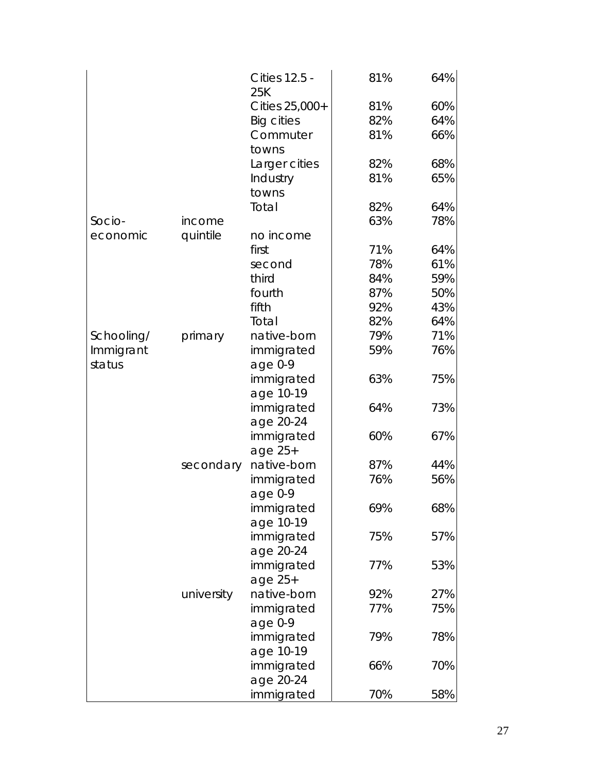|            |            | <b>Cities 12.5 -</b><br>25K | 81% | 64% |
|------------|------------|-----------------------------|-----|-----|
|            |            | Cities 25,000+              | 81% | 60% |
|            |            | <b>Big cities</b>           | 82% | 64% |
|            |            | Commuter                    | 81% | 66% |
|            |            | towns                       |     |     |
|            |            | Larger cities               | 82% | 68% |
|            |            | Industry                    | 81% | 65% |
|            |            | towns                       |     |     |
|            |            | Total                       | 82% | 64% |
| Socio-     | income     |                             | 63% | 78% |
| economic   | quintile   | no income                   |     |     |
|            |            | first                       | 71% | 64% |
|            |            | second                      | 78% | 61% |
|            |            | third                       | 84% | 59% |
|            |            | fourth                      | 87% | 50% |
|            |            | fifth                       | 92% | 43% |
|            |            | Total                       | 82% | 64% |
| Schooling/ | primary    | native-born                 | 79% | 71% |
| Immigrant  |            | immigrated                  | 59% | 76% |
| status     |            | age $0-9$                   |     |     |
|            |            | immigrated                  | 63% | 75% |
|            |            | age 10-19                   |     |     |
|            |            | immigrated                  | 64% | 73% |
|            |            | age 20-24                   |     |     |
|            |            | immigrated                  | 60% | 67% |
|            |            | age 25+                     |     |     |
|            | secondary  | native-born                 | 87% | 44% |
|            |            | immigrated                  | 76% | 56% |
|            |            | age 0-9                     |     |     |
|            |            | immigrated                  | 69% | 68% |
|            |            | age 10-19                   |     |     |
|            |            | immigrated                  | 75% | 57% |
|            |            | age 20-24                   |     |     |
|            |            | immigrated                  | 77% | 53% |
|            |            | age $25+$                   |     |     |
|            | university | native-born                 | 92% | 27% |
|            |            | immigrated                  | 77% | 75% |
|            |            | age $0-9$                   |     |     |
|            |            | immigrated                  | 79% | 78% |
|            |            | age 10-19                   |     |     |
|            |            | immigrated                  | 66% | 70% |
|            |            | age 20-24                   |     |     |
|            |            | immigrated                  | 70% | 58% |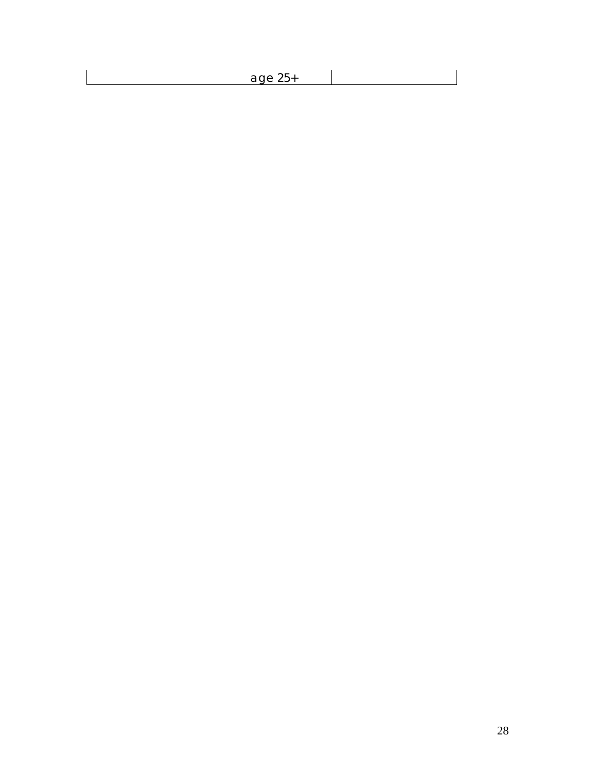| age $25+$ |  |
|-----------|--|
|           |  |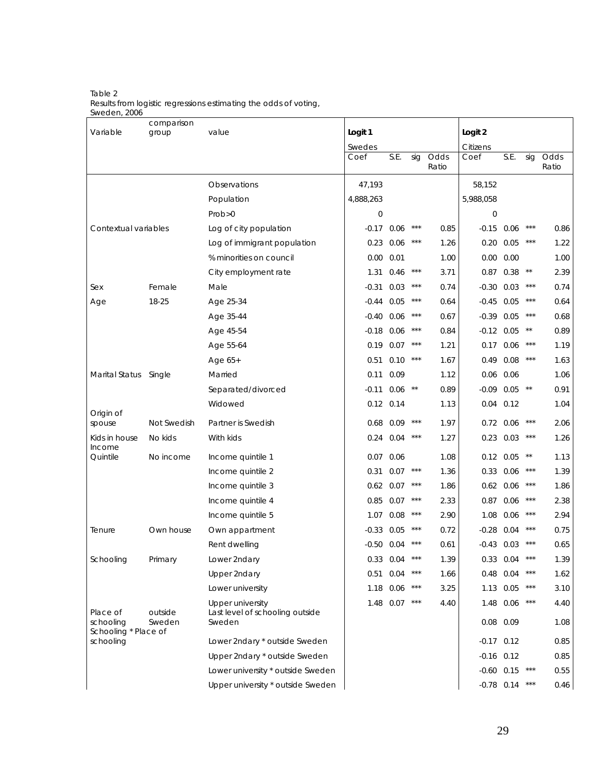Table 2 Results from logistic regressions estimating the odds of voting, Sweden, 2006

| Variable                          | comparison<br>group | value                                               | Logit 1   |              |       |       | Logit 2      |                  |                   |       |
|-----------------------------------|---------------------|-----------------------------------------------------|-----------|--------------|-------|-------|--------------|------------------|-------------------|-------|
|                                   |                     |                                                     | Swedes    |              |       |       | Citizens     |                  |                   |       |
|                                   |                     |                                                     | Coef      | S.E.         | sig   | Odds  | Coef         | S.E.             | sig               | Odds  |
|                                   |                     |                                                     |           |              |       | Ratio |              |                  |                   | Ratio |
|                                   |                     | Observations                                        | 47.193    |              |       |       | 58,152       |                  |                   |       |
|                                   |                     | Population                                          | 4,888,263 |              |       |       | 5,988,058    |                  |                   |       |
|                                   |                     | Prob > 0                                            | 0         |              |       |       | 0            |                  |                   |       |
| Contextual variables              |                     | Log of city population                              | $-0.17$   | 0.06         |       | 0.85  | $-0.15$      | 0.06             | $***$             | 0.86  |
|                                   |                     | Log of immigrant population                         | 0.23      | 0.06         | $***$ | 1.26  | 0.20         | 0.05             | $***$             | 1.22  |
|                                   |                     | % minorities on council                             | 0.00      | 0.01         |       | 1.00  | 0.00         | 0.00             |                   | 1.00  |
|                                   |                     | City employment rate                                | 1.31      | 0.46         | $***$ | 3.71  |              | 0.87 0.38        | $***$             | 2.39  |
| Sex                               | Female              | Male                                                | $-0.31$   | 0.03         | $***$ | 0.74  | $-0.30$      | 0.03             | $***$             | 0.74  |
| Age                               | 18-25               | Age 25-34                                           | $-0.44$   | 0.05         | $***$ | 0.64  | $-0.45$      | 0.05             | $***$             | 0.64  |
|                                   |                     | Age 35-44                                           | $-0.40$   | 0.06         | $***$ | 0.67  | $-0.39$      | 0.05             | $***$             | 0.68  |
|                                   |                     | Age 45-54                                           | $-0.18$   | 0.06         | $***$ | 0.84  | $-0.12$ 0.05 |                  | $***$             | 0.89  |
|                                   |                     | Age 55-64                                           | 0.19      | 0.07         | $***$ | 1.21  | 0.17         | 0.06             | $***$             | 1.19  |
|                                   |                     | Age 65+                                             | 0.51      | 0.10         | $***$ | 1.67  | 0.49         | 0.08             | $***$             | 1.63  |
| <b>Marital Status</b>             | Single              | Married                                             | 0.11      | 0.09         |       | 1.12  | 0.06         | 0.06             |                   | 1.06  |
|                                   |                     | Separated/divorced                                  | $-0.11$   | 0.06         | $* *$ | 0.89  | -0.09        | 0.05             | $**$              | 0.91  |
|                                   |                     | Widowed                                             | 0.12      | 0.14         |       | 1.13  | 0.04         | 0.12             |                   | 1.04  |
| Origin of<br>spouse               | Not Swedish         | Partner is Swedish                                  | 0.68      | 0.09         | $***$ | 1.97  | 0.72         | 0.06             | $***$             | 2.06  |
| Kids in house<br>Income           | No kids             | With kids                                           | 0.24      | 0.04         | $***$ | 1.27  | 0.23         | 0.03             | $***$             | 1.26  |
| Quintile                          | No income           | Income quintile 1                                   | 0.07      | 0.06         |       | 1.08  | 0.12         | 0.05             | $***$             | 1.13  |
|                                   |                     | Income quintile 2                                   | 0.31      | 0.07         | $***$ | 1.36  | 0.33         | 0.06             | $***$             | 1.39  |
|                                   |                     | Income quintile 3                                   | 0.62      | 0.07         | $***$ | 1.86  | 0.62         | 0.06             | $\star\star\star$ | 1.86  |
|                                   |                     | Income quintile 4                                   | 0.85      | 0.07         | $***$ | 2.33  | 0.87         | 0.06             | $***$             | 2.38  |
|                                   |                     | Income quintile 5                                   | 1.07      | 0.08         | $***$ | 2.90  | 1.08         | 0.06             | $***$             | 2.94  |
| Tenure                            | Own house           | Own appartment                                      | $-0.33$   | 0.05         | $***$ | 0.72  | $-0.28$      | 0.04             | $***$             | 0.75  |
|                                   |                     | Rent dwelling                                       |           | $-0.50$ 0.04 | $***$ | 0.61  | $-0.43$ 0.03 |                  | $***$             | 0.65  |
| Schooling                         | Primary             | Lower 2ndary                                        |           | 0.33 0.04    |       | 1.39  |              | 0.33 0.04        | ***               | 1.39  |
|                                   |                     | Upper 2ndary                                        | 0.51      | 0.04         |       | 1.66  |              | 0.48 0.04        | $***$             | 1.62  |
|                                   |                     | Lower university                                    |           | 1.18 0.06    | $***$ | 3.25  |              | 1.13 0.05        | $***$             | 3.10  |
| Place of                          | outside             | Upper university<br>Last level of schooling outside |           | 1.48 0.07    | $***$ | 4.40  |              | 1.48 0.06        | $***$             | 4.40  |
| schooling<br>Schooling * Place of | Sweden              | Sweden                                              |           |              |       |       |              | $0.08$ 0.09      |                   | 1.08  |
| schooling                         |                     | Lower 2ndary * outside Sweden                       |           |              |       |       | $-0.17$ 0.12 |                  |                   | 0.85  |
|                                   |                     | Upper 2ndary * outside Sweden                       |           |              |       |       | $-0.16$ 0.12 |                  |                   | 0.85  |
|                                   |                     | Lower university * outside Sweden                   |           |              |       |       |              | $-0.60$ $0.15$   | $***$             | 0.55  |
|                                   |                     | Upper university * outside Sweden                   |           |              |       |       |              | $-0.78$ 0.14 *** |                   | 0.46  |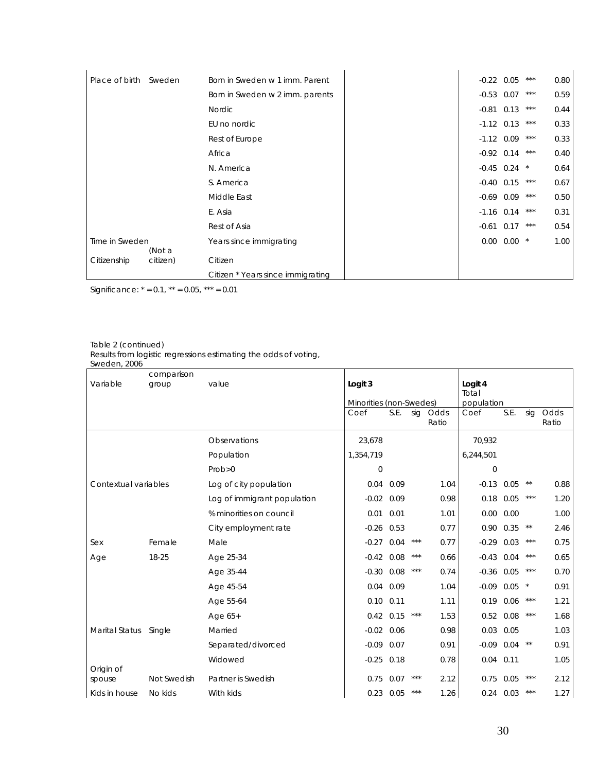| Place of birth Sweden |          | Born in Sweden w 1 imm. Parent    | $-0.22$ 0.05     |                   | ***   | 0.80 |
|-----------------------|----------|-----------------------------------|------------------|-------------------|-------|------|
|                       |          |                                   |                  |                   |       |      |
|                       |          | Born in Sweden w 2 imm. parents   | $-0.53$ 0.07     |                   | $***$ | 0.59 |
|                       |          | Nordic                            | $-0.81$ $0.13$   |                   | $***$ | 0.44 |
|                       |          | EU no nordic                      | $-1.12$ 0.13     |                   | $***$ | 0.33 |
|                       |          | Rest of Europe                    | $-1.12$ 0.09     |                   | $***$ | 0.33 |
|                       |          | Africa                            | $-0.92$ 0.14     |                   | $***$ | 0.40 |
|                       |          | N. America                        | $-0.45$ 0.24 $*$ |                   |       | 0.64 |
|                       |          | S. America                        | $-0.40$ 0.15     |                   | $***$ | 0.67 |
|                       |          | Middle East                       | $-0.69$ 0.09     |                   | $***$ | 0.50 |
|                       |          | E. Asia                           | $-1.16$ 0.14     |                   | $***$ | 0.31 |
|                       |          | Rest of Asia                      | $-0.61$ 0.17     |                   | $***$ | 0.54 |
| Time in Sweden        | (Not a   | Years since immigrating           |                  | $0.00$ $0.00$ $*$ |       | 1.00 |
| Citizenship           | citizen) | Citizen                           |                  |                   |       |      |
|                       |          | Citizen * Years since immigrating |                  |                   |       |      |

Significance:  $* = 0.1$ ,  $** = 0.05$ ,  $*** = 0.01$ 

#### Table 2 (continued)

Results from logistic regressions estimating the odds of voting,

|                       | comparison  |                             |                         |              |       |               |                  |             |         |               |
|-----------------------|-------------|-----------------------------|-------------------------|--------------|-------|---------------|------------------|-------------|---------|---------------|
| Variable              | group       | value                       | Logit 3                 |              |       |               | Logit 4<br>Total |             |         |               |
|                       |             |                             | Minorities (non-Swedes) |              |       |               | population       |             |         |               |
|                       |             |                             | Coef                    | S.E.         | sig   | Odds<br>Ratio | Coef             | S.E.        | sig     | Odds<br>Ratio |
|                       |             | Observations                | 23,678                  |              |       |               | 70,932           |             |         |               |
|                       |             | Population                  | 1,354,719               |              |       |               | 6,244,501        |             |         |               |
|                       |             | Prob>0                      | 0                       |              |       |               | $\Omega$         |             |         |               |
| Contextual variables  |             | Log of city population      | 0.04                    | 0.09         |       | 1.04          | $-0.13$          | 0.05        | $* *$   | 0.88          |
|                       |             | Log of immigrant population | $-0.02$                 | 0.09         |       | 0.98          | 0.18             | 0.05        | $***$   | 1.20          |
|                       |             | % minorities on council     | 0.01                    | 0.01         |       | 1.01          | 0.00             | 0.00        |         | 1.00          |
|                       |             | City employment rate        |                         | $-0.26$ 0.53 |       | 0.77          |                  | 0.90 0.35   | $**$    | 2.46          |
| Sex                   | Female      | Male                        | $-0.27$                 | 0.04         | $***$ | 0.77          | $-0.29$          | 0.03        | $***$   | 0.75          |
| Age                   | 18-25       | Age 25-34                   | $-0.42$                 | 0.08         | $***$ | 0.66          | $-0.43$          | 0.04        | $***$   | 0.65          |
|                       |             | Age 35-44                   | $-0.30$                 | 0.08         | $***$ | 0.74          | $-0.36$          | 0.05        | $***$   | 0.70          |
|                       |             | Age 45-54                   |                         | $0.04$ 0.09  |       | 1.04          | $-0.09$          | 0.05        | $\star$ | 0.91          |
|                       |             | Age 55-64                   | 0.10                    | 0.11         |       | 1.11          | 0.19             | 0.06        | $***$   | 1.21          |
|                       |             | Age $65+$                   | 0.42                    | 0.15         | $***$ | 1.53          | 0.52             | 0.08        | $***$   | 1.68          |
| <b>Marital Status</b> | Single      | Married                     |                         | $-0.02$ 0.06 |       | 0.98          |                  | $0.03$ 0.05 |         | 1.03          |
|                       |             | Separated/divorced          | $-0.09$                 | 0.07         |       | 0.91          | $-0.09$          | 0.04        | $**$    | 0.91          |
| Origin of             |             | Widowed                     | $-0.25$                 | 0.18         |       | 0.78          | 0.04             | 0.11        |         | 1.05          |
| spouse                | Not Swedish | Partner is Swedish          | 0.75                    | 0.07         | $***$ | 2.12          |                  | $0.75$ 0.05 | $***$   | 2.12          |
| Kids in house         | No kids     | With kids                   |                         | $0.23$ 0.05  |       | 1.26          |                  | $0.24$ 0.03 | $***$   | 1.27          |